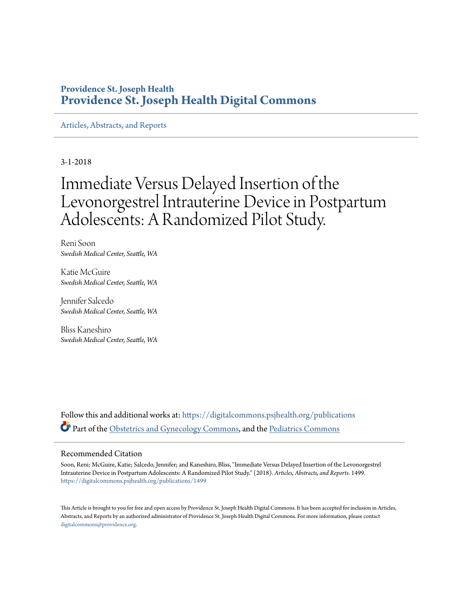# **Providence St. Joseph Health [Providence St. Joseph Health Digital Commons](https://digitalcommons.psjhealth.org?utm_source=digitalcommons.psjhealth.org%2Fpublications%2F1499&utm_medium=PDF&utm_campaign=PDFCoverPages)**

[Articles, Abstracts, and Reports](https://digitalcommons.psjhealth.org/publications?utm_source=digitalcommons.psjhealth.org%2Fpublications%2F1499&utm_medium=PDF&utm_campaign=PDFCoverPages)

3-1-2018

# Immediate Versus Delayed Insertion of the Levonorgestrel Intrauterine Device in Postpartum Adolescents: A Randomized Pilot Study.

Reni Soon *Swedish Medical Center, Seattle, WA*

Katie McGuire *Swedish Medical Center, Seattle, WA*

Jennifer Salcedo *Swedish Medical Center, Seattle, WA*

Bliss Kaneshiro *Swedish Medical Center, Seattle, WA*

Follow this and additional works at: [https://digitalcommons.psjhealth.org/publications](https://digitalcommons.psjhealth.org/publications?utm_source=digitalcommons.psjhealth.org%2Fpublications%2F1499&utm_medium=PDF&utm_campaign=PDFCoverPages) Part of the [Obstetrics and Gynecology Commons,](http://network.bepress.com/hgg/discipline/693?utm_source=digitalcommons.psjhealth.org%2Fpublications%2F1499&utm_medium=PDF&utm_campaign=PDFCoverPages) and the [Pediatrics Commons](http://network.bepress.com/hgg/discipline/700?utm_source=digitalcommons.psjhealth.org%2Fpublications%2F1499&utm_medium=PDF&utm_campaign=PDFCoverPages)

### Recommended Citation

Soon, Reni; McGuire, Katie; Salcedo, Jennifer; and Kaneshiro, Bliss, "Immediate Versus Delayed Insertion of the Levonorgestrel Intrauterine Device in Postpartum Adolescents: A Randomized Pilot Study." (2018). *Articles, Abstracts, and Reports*. 1499. [https://digitalcommons.psjhealth.org/publications/1499](https://digitalcommons.psjhealth.org/publications/1499?utm_source=digitalcommons.psjhealth.org%2Fpublications%2F1499&utm_medium=PDF&utm_campaign=PDFCoverPages)

This Article is brought to you for free and open access by Providence St. Joseph Health Digital Commons. It has been accepted for inclusion in Articles, Abstracts, and Reports by an authorized administrator of Providence St. Joseph Health Digital Commons. For more information, please contact [digitalcommons@providence.org](mailto:digitalcommons@providence.org).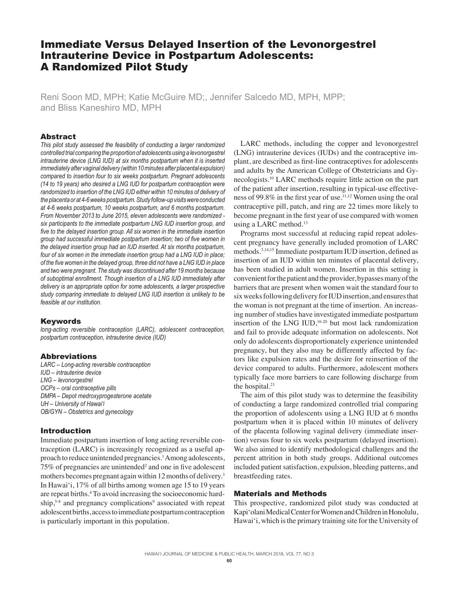## Immediate Versus Delayed Insertion of the Levonorgestrel Intrauterine Device in Postpartum Adolescents: A Randomized Pilot Study

Reni Soon MD, MPH; Katie McGuire MD;, Jennifer Salcedo MD, MPH, MPP; and Bliss Kaneshiro MD, MPH

#### Abstract

*This pilot study assessed the feasibility of conducting a larger randomized controlled trial comparing the proportion of adolescents using a levonorgestrel intrauterine device (LNG IUD) at six months postpartum when it is inserted immediately after vaginal delivery (within 10 minutes after placental expulsion) compared to insertion four to six weeks postpartum. Pregnant adolescents (14 to 19 years) who desired a LNG IUD for postpartum contraception were randomized to insertion of the LNG IUD either within 10 minutes of delivery of the placenta or at 4-6 weeks postpartum. Study follow-up visits were conducted at 4-6 weeks postpartum, 10 weeks postpartum, and 6 months postpartum. From November 2013 to June 2015, eleven adolescents were randomized six participants to the immediate postpartum LNG IUD insertion group, and five to the delayed insertion group. All six women in the immediate insertion group had successful immediate postpartum insertion; two of five women in the delayed insertion group had an IUD inserted. At six months postpartum, four of six women in the immediate insertion group had a LNG IUD in place; of the five women in the delayed group, three did not have a LNG IUD in place and two were pregnant. The study was discontinued after 19 months because of suboptimal enrollment. Though insertion of a LNG IUD immediately after delivery is an appropriate option for some adolescents, a larger prospective study comparing immediate to delayed LNG IUD insertion is unlikely to be feasible at our institution.* 

#### **Keywords**

*long-acting reversible contraception (LARC), adolescent contraception, postpartum contraception, intrauterine device (IUD)*

#### Abbreviations

*LARC – Long-acting reversible contraception IUD – intrauterine device LNG – levonorgestrel OCPs – oral contraceptive pills DMPA – Depot medroxyprogesterone acetate UH – University of Hawai'i OB/GYN – Obstetrics and gynecology*

#### Introduction

Immediate postpartum insertion of long acting reversible contraception (LARC) is increasingly recognized as a useful approach to reduce unintended pregnancies.<sup>1</sup> Among adolescents,  $75\%$  of pregnancies are unintended<sup>2</sup> and one in five adolescent mothers becomes pregnant again within 12 months of delivery.<sup>3</sup> In Hawai'i, 17% of all births among women age 15 to 19 years are repeat births.4 To avoid increasing the socioeconomic hardship,<sup>5-8</sup> and pregnancy complications<sup>9</sup> associated with repeat adolescent births, access to immediate postpartum contraception is particularly important in this population.

LARC methods, including the copper and levonorgestrel (LNG) intrauterine devices (IUDs) and the contraceptive implant, are described as first-line contraceptives for adolescents and adults by the American College of Obstetricians and Gynecologists.10 LARC methods require little action on the part of the patient after insertion, resulting in typical-use effectiveness of 99.8% in the first year of use.11,12 Women using the oral contraceptive pill, patch, and ring are 22 times more likely to become pregnant in the first year of use compared with women using a LARC method. $13$ 

Programs most successful at reducing rapid repeat adolescent pregnancy have generally included promotion of LARC methods.3,14,15 Immediate postpartum IUD insertion, defined as insertion of an IUD within ten minutes of placental delivery, has been studied in adult women. Insertion in this setting is convenient for the patient and the provider, bypasses many of the barriers that are present when women wait the standard four to six weeks following delivery for IUD insertion, and ensures that the woman is not pregnant at the time of insertion. An increasing number of studies have investigated immediate postpartum insertion of the LNG IUD, $16-20$  but most lack randomization and fail to provide adequate information on adolescents. Not only do adolescents disproportionately experience unintended pregnancy, but they also may be differently affected by factors like expulsion rates and the desire for reinsertion of the device compared to adults. Furthermore, adolescent mothers typically face more barriers to care following discharge from the hospital.<sup>21</sup>

The aim of this pilot study was to determine the feasibility of conducting a large randomized controlled trial comparing the proportion of adolescents using a LNG IUD at 6 months postpartum when it is placed within 10 minutes of delivery of the placenta following vaginal delivery (immediate insertion) versus four to six weeks postpartum (delayed insertion). We also aimed to identify methodological challenges and the percent attrition in both study groups. Additional outcomes included patient satisfaction, expulsion, bleeding patterns, and breastfeeding rates.

#### Materials and Methods

This prospective, randomized pilot study was conducted at Kapi'olani Medical Center for Women and Children in Honolulu, Hawai'i, which is the primary training site for the University of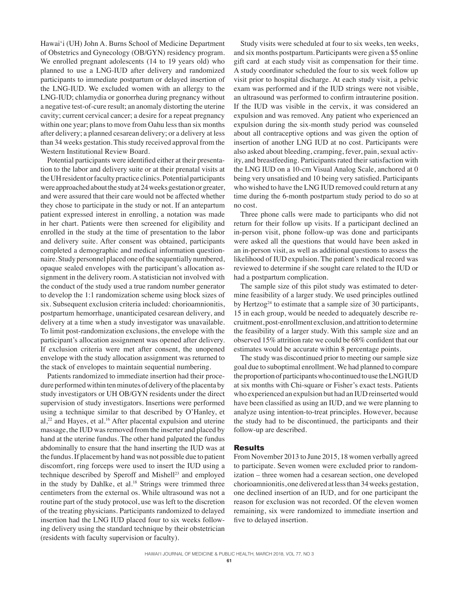Hawai'i (UH) John A. Burns School of Medicine Department of Obstetrics and Gynecology (OB/GYN) residency program. We enrolled pregnant adolescents (14 to 19 years old) who planned to use a LNG-IUD after delivery and randomized participants to immediate postpartum or delayed insertion of the LNG-IUD. We excluded women with an allergy to the LNG-IUD; chlamydia or gonorrhea during pregnancy without a negative test-of-cure result; an anomaly distorting the uterine cavity; current cervical cancer; a desire for a repeat pregnancy within one year; plans to move from Oahu less than six months after delivery; a planned cesarean delivery; or a delivery at less than 34 weeks gestation. This study received approval from the Western Institutional Review Board.

Potential participants were identified either at their presentation to the labor and delivery suite or at their prenatal visits at the UH resident or faculty practice clinics. Potential participants were approached about the study at 24 weeks gestation or greater, and were assured that their care would not be affected whether they chose to participate in the study or not. If an antepartum patient expressed interest in enrolling, a notation was made in her chart. Patients were then screened for eligibility and enrolled in the study at the time of presentation to the labor and delivery suite. After consent was obtained, participants completed a demographic and medical information questionnaire. Study personnel placed one of the sequentially numbered, opaque sealed envelopes with the participant's allocation assignment in the delivery room. A statistician not involved with the conduct of the study used a true random number generator to develop the 1:1 randomization scheme using block sizes of six. Subsequent exclusion criteria included: chorioamnionitis, postpartum hemorrhage, unanticipated cesarean delivery, and delivery at a time when a study investigator was unavailable. To limit post-randomization exclusions, the envelope with the participant's allocation assignment was opened after delivery. If exclusion criteria were met after consent, the unopened envelope with the study allocation assignment was returned to the stack of envelopes to maintain sequential numbering.

Patients randomized to immediate insertion had their procedure performed within ten minutes of delivery of the placenta by study investigators or UH OB/GYN residents under the direct supervision of study investigators. Insertions were performed using a technique similar to that described by O'Hanley, et  $al$ ,<sup>22</sup> and Hayes, et al.<sup>16</sup> After placental expulsion and uterine massage, the IUD was removed from the inserter and placed by hand at the uterine fundus. The other hand palpated the fundus abdominally to ensure that the hand inserting the IUD was at the fundus. If placement by hand was not possible due to patient discomfort, ring forceps were used to insert the IUD using a technique described by Speroff and Mishell<sup>23</sup> and employed in the study by Dahlke, et al. $18$  Strings were trimmed three centimeters from the external os. While ultrasound was not a routine part of the study protocol, use was left to the discretion of the treating physicians. Participants randomized to delayed insertion had the LNG IUD placed four to six weeks following delivery using the standard technique by their obstetrician (residents with faculty supervision or faculty).

Study visits were scheduled at four to six weeks, ten weeks, and six months postpartum. Participants were given a \$5 online gift card at each study visit as compensation for their time. A study coordinator scheduled the four to six week follow up visit prior to hospital discharge. At each study visit, a pelvic exam was performed and if the IUD strings were not visible, an ultrasound was performed to confirm intrauterine position. If the IUD was visible in the cervix, it was considered an expulsion and was removed. Any patient who experienced an expulsion during the six-month study period was counseled about all contraceptive options and was given the option of insertion of another LNG IUD at no cost. Participants were also asked about bleeding, cramping, fever, pain, sexual activity, and breastfeeding. Participants rated their satisfaction with the LNG IUD on a 10-cm Visual Analog Scale, anchored at 0 being very unsatisfied and 10 being very satisfied. Participants who wished to have the LNG IUD removed could return at any time during the 6-month postpartum study period to do so at no cost.

Three phone calls were made to participants who did not return for their follow up visits. If a participant declined an in-person visit, phone follow-up was done and participants were asked all the questions that would have been asked in an in-person visit, as well as additional questions to assess the likelihood of IUD expulsion. The patient's medical record was reviewed to determine if she sought care related to the IUD or had a postpartum complication.

The sample size of this pilot study was estimated to determine feasibility of a larger study. We used principles outlined by Hertzog<sup>24</sup> to estimate that a sample size of 30 participants, 15 in each group, would be needed to adequately describe recruitment, post-enrollment exclusion, and attrition to determine the feasibility of a larger study. With this sample size and an observed 15% attrition rate we could be 68% confident that our estimates would be accurate within 8 percentage points.

The study was discontinued prior to meeting our sample size goal due to suboptimal enrollment. We had planned to compare the proportion of participants who continued to use the LNG IUD at six months with Chi-square or Fisher's exact tests. Patients who experienced an expulsion but had an IUD reinserted would have been classified as using an IUD, and we were planning to analyze using intention-to-treat principles. However, because the study had to be discontinued, the participants and their follow-up are described.

#### **Results**

From November 2013 to June 2015, 18 women verbally agreed to participate. Seven women were excluded prior to randomization – three women had a cesarean section, one developed chorioamnionitis, one delivered at less than 34 weeks gestation, one declined insertion of an IUD, and for one participant the reason for exclusion was not recorded. Of the eleven women remaining, six were randomized to immediate insertion and five to delayed insertion.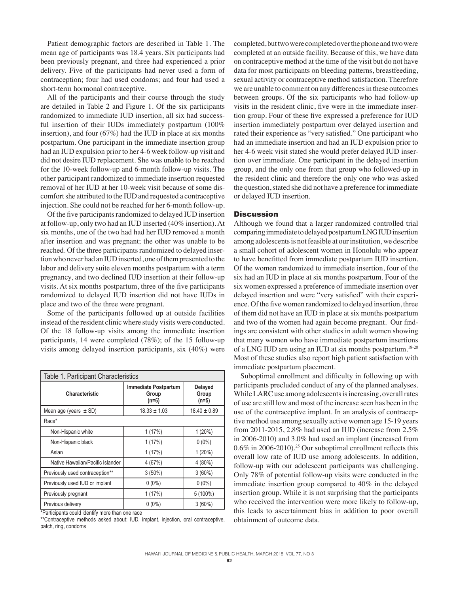Patient demographic factors are described in Table 1. The mean age of participants was 18.4 years. Six participants had been previously pregnant, and three had experienced a prior delivery. Five of the participants had never used a form of contraception; four had used condoms; and four had used a short-term hormonal contraceptive.

All of the participants and their course through the study are detailed in Table 2 and Figure 1. Of the six participants randomized to immediate IUD insertion, all six had successful insertion of their IUDs immediately postpartum (100% insertion), and four (67%) had the IUD in place at six months postpartum. One participant in the immediate insertion group had an IUD expulsion prior to her 4-6 week follow-up visit and did not desire IUD replacement. She was unable to be reached for the 10-week follow-up and 6-month follow-up visits. The other participant randomized to immediate insertion requested removal of her IUD at her 10-week visit because of some discomfort she attributed to the IUD and requested a contraceptive injection. She could not be reached for her 6-month follow-up.

Of the five participants randomized to delayed IUD insertion at follow-up, only two had an IUD inserted (40% insertion). At six months, one of the two had had her IUD removed a month after insertion and was pregnant; the other was unable to be reached. Of the three participants randomized to delayed insertion who never had an IUD inserted, one of them presented to the labor and delivery suite eleven months postpartum with a term pregnancy, and two declined IUD insertion at their follow-up visits. At six months postpartum, three of the five participants randomized to delayed IUD insertion did not have IUDs in place and two of the three were pregnant.

Some of the participants followed up at outside facilities instead of the resident clinic where study visits were conducted. Of the 18 follow-up visits among the immediate insertion participants, 14 were completed (78%); of the 15 follow-up visits among delayed insertion participants, six (40%) were

| Table 1. Participant Characteristics |                                                 |                                    |  |  |  |  |
|--------------------------------------|-------------------------------------------------|------------------------------------|--|--|--|--|
| Characteristic                       | <b>Immediate Postpartum</b><br>Group<br>$(n=6)$ | <b>Delayed</b><br>Group<br>$(n=5)$ |  |  |  |  |
| Mean age (years $\pm$ SD)            | $18.33 \pm 1.03$                                | $18.40 \pm 0.89$                   |  |  |  |  |
| Race*                                |                                                 |                                    |  |  |  |  |
| Non-Hispanic white                   | 1(17%)                                          | 1(20%)                             |  |  |  |  |
| Non-Hispanic black                   | 1(17%)                                          | $0(0\%)$                           |  |  |  |  |
| Asian                                | 1(17%)                                          | $1(20\%)$                          |  |  |  |  |
| Native Hawaiian/Pacific Islander     | 4(67%)                                          | $4(80\%)$                          |  |  |  |  |
| Previously used contraception**      | $3(50\%)$                                       | $3(60\%)$                          |  |  |  |  |
| Previously used IUD or implant       | $0(0\%)$                                        | $0(0\%)$                           |  |  |  |  |
| Previously pregnant                  | 1(17%)                                          | $5(100\%)$                         |  |  |  |  |
| Previous delivery                    | $0(0\%)$                                        | $3(60\%)$                          |  |  |  |  |

\*Participants could identify more than one race

\*\*Contraceptive methods asked about: IUD, implant, injection, oral contraceptive, patch, ring, condoms

completed, but two were completed over the phone and two were completed at an outside facility. Because of this, we have data on contraceptive method at the time of the visit but do not have data for most participants on bleeding patterns, breastfeeding, sexual activity or contraceptive method satisfaction. Therefore we are unable to comment on any differences in these outcomes between groups. Of the six participants who had follow-up visits in the resident clinic, five were in the immediate insertion group. Four of these five expressed a preference for IUD insertion immediately postpartum over delayed insertion and rated their experience as "very satisfied." One participant who had an immediate insertion and had an IUD expulsion prior to her 4-6 week visit stated she would prefer delayed IUD insertion over immediate. One participant in the delayed insertion group, and the only one from that group who followed-up in the resident clinic and therefore the only one who was asked the question, stated she did not have a preference for immediate or delayed IUD insertion.

## **Discussion**

Although we found that a larger randomized controlled trial comparing immediate to delayed postpartum LNG IUD insertion among adolescents is not feasible at our institution, we describe a small cohort of adolescent women in Honolulu who appear to have benefitted from immediate postpartum IUD insertion. Of the women randomized to immediate insertion, four of the six had an IUD in place at six months postpartum. Four of the six women expressed a preference of immediate insertion over delayed insertion and were "very satisfied" with their experience. Of the five women randomized to delayed insertion, three of them did not have an IUD in place at six months postpartum and two of the women had again become pregnant. Our findings are consistent with other studies in adult women showing that many women who have immediate postpartum insertions of a LNG IUD are using an IUD at six months postpartum.18-20 Most of these studies also report high patient satisfaction with immediate postpartum placement.

Suboptimal enrollment and difficulty in following up with participants precluded conduct of any of the planned analyses. While LARC use among adolescents is increasing, overall rates of use are still low and most of the increase seen has been in the use of the contraceptive implant. In an analysis of contraceptive method use among sexually active women age 15-19 years from 2011-2015, 2.8% had used an IUD (increase from 2.5% in 2006-2010) and 3.0% had used an implant (increased from 0.6% in 2006-2010).<sup>25</sup> Our suboptimal enrollment reflects this overall low rate of IUD use among adolescents. In addition, follow-up with our adolescent participants was challenging. Only 78% of potential follow-up visits were conducted in the immediate insertion group compared to 40% in the delayed insertion group. While it is not surprising that the participants who received the intervention were more likely to follow-up, this leads to ascertainment bias in addition to poor overall obtainment of outcome data.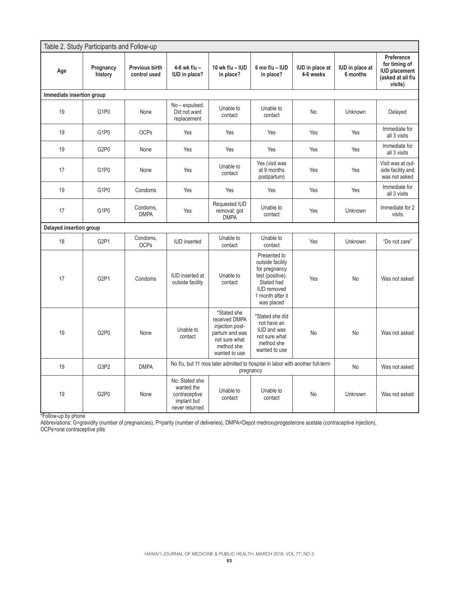| Table 2. Study Participants and Follow-up |                               |                                |                                                                                            |                                                                                                                   |                                                                                                                                             |                                     |                                    |                                                                                     |  |  |  |
|-------------------------------------------|-------------------------------|--------------------------------|--------------------------------------------------------------------------------------------|-------------------------------------------------------------------------------------------------------------------|---------------------------------------------------------------------------------------------------------------------------------------------|-------------------------------------|------------------------------------|-------------------------------------------------------------------------------------|--|--|--|
| Age                                       | Pregnancy<br>history          | Previous birth<br>control used | $4-6$ wk f/u -<br><b>IUD</b> in place?                                                     | 10 wk f/u - IUD<br>in place?                                                                                      | 6 mo $f/u - IUD$<br>in place?                                                                                                               | <b>IUD</b> in place at<br>4-6 weeks | <b>IUD</b> in place at<br>6 months | Preference<br>for timing of<br><b>IUD placement</b><br>(asked at all f/u<br>visits) |  |  |  |
| Immediate insertion group                 |                               |                                |                                                                                            |                                                                                                                   |                                                                                                                                             |                                     |                                    |                                                                                     |  |  |  |
| 19                                        | G1P0                          | None                           | No - expulsed.<br>Did not want<br>replacement                                              | Unable to<br>contact                                                                                              | Unable to<br>contact                                                                                                                        | No                                  | Unknown                            | Delayed                                                                             |  |  |  |
| 19                                        | G1P0                          | <b>OCPs</b>                    | Yes                                                                                        | Yes                                                                                                               | Yes                                                                                                                                         | Yes                                 | Yes                                | Immediate for<br>all 3 visits                                                       |  |  |  |
| 19                                        | G2P0                          | None                           | Yes                                                                                        | Yes                                                                                                               | Yes                                                                                                                                         | Yes                                 | Yes                                | Immediate for<br>all 3 visits                                                       |  |  |  |
| 17                                        | G1P0                          | None                           | Yes                                                                                        | Unable to<br>contact                                                                                              | Yes (visit was<br>at 9 months<br>postpartum)                                                                                                | Yes                                 | Yes                                | Visit was at out-<br>side facility and<br>was not asked                             |  |  |  |
| 19                                        | G1P0                          | Condoms                        | Yes                                                                                        | Yes                                                                                                               | Yes                                                                                                                                         | Yes                                 | Yes                                | Immediate for<br>all 3 visits                                                       |  |  |  |
| 17                                        | G1P0                          | Condoms,<br><b>DMPA</b>        | Yes                                                                                        | Requested IUD<br>removal; got<br><b>DMPA</b>                                                                      | Unable to<br>contact                                                                                                                        | Yes                                 | Unknown                            | Immediate for 2<br>visits                                                           |  |  |  |
|                                           | Delayed insertion group       |                                |                                                                                            |                                                                                                                   |                                                                                                                                             |                                     |                                    |                                                                                     |  |  |  |
| 18                                        | G <sub>2</sub> P <sub>1</sub> | Condoms,<br><b>OCPs</b>        | <b>IUD</b> inserted                                                                        | Unable to<br>contact                                                                                              | Unable to<br>contact                                                                                                                        | Yes                                 | Unknown                            | "Do not care"                                                                       |  |  |  |
| 17                                        | G <sub>2</sub> P <sub>1</sub> | Condoms                        | <b>IUD</b> inserted at<br>outside facility                                                 | Unable to<br>contact                                                                                              | Presented to<br>outside facility<br>for pregnancy<br>test (positive).<br>Stated had<br><b>IUD</b> removed<br>1 month after it<br>was placed | Yes                                 | <b>No</b>                          | Was not asked                                                                       |  |  |  |
| 19                                        | G <sub>2</sub> P <sub>0</sub> | None                           | Unable to<br>contact                                                                       | *Stated she<br>received DMPA<br>injection post-<br>partum and was<br>not sure what<br>method she<br>wanted to use | *Stated she did<br>not have an<br><b>IUD</b> and was<br>not sure what<br>method she<br>wanted to use                                        | No                                  | <b>No</b>                          | Was not asked                                                                       |  |  |  |
| 19                                        | G3P2                          | <b>DMPA</b>                    | No f/u, but 11 mos later admitted to hospital in labor with another full-term<br>pregnancy |                                                                                                                   |                                                                                                                                             | <b>No</b>                           | Was not asked                      |                                                                                     |  |  |  |
| 19                                        | G <sub>2</sub> P <sub>0</sub> | None                           | No. Stated she<br>wanted the<br>contraceptive<br>implant but<br>never returned             | Unable to<br>contact                                                                                              | Unable to<br>contact                                                                                                                        | No                                  | Unknown                            | Was not asked                                                                       |  |  |  |

\*Follow-up by phone

Abbreviations: G=gravidity (number of pregnancies), P=parity (number of deliveries), DMPA=Depot medroxyprogesterone acetate (contraceptive injection),

OCPs=oral contraceptive pills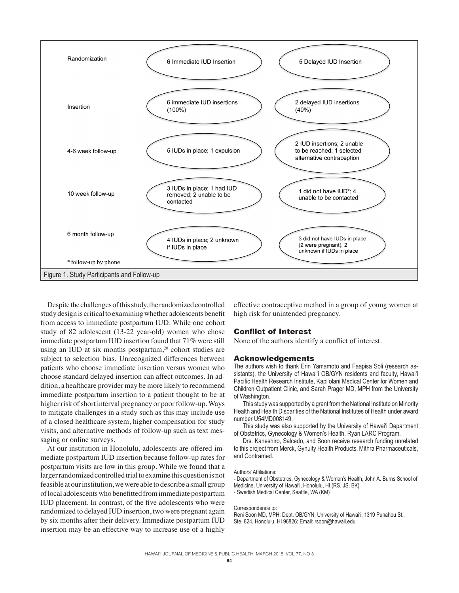

Despite the challenges of this study, the randomized controlled study design is critical to examining whether adolescents benefit from access to immediate postpartum IUD. While one cohort study of 82 adolescent (13-22 year-old) women who chose immediate postpartum IUD insertion found that 71% were still using an IUD at six months postpartum, $20$  cohort studies are subject to selection bias. Unrecognized differences between patients who choose immediate insertion versus women who choose standard delayed insertion can affect outcomes. In addition, a healthcare provider may be more likely to recommend immediate postpartum insertion to a patient thought to be at higher risk of short interval pregnancy or poor follow-up. Ways to mitigate challenges in a study such as this may include use of a closed healthcare system, higher compensation for study visits, and alternative methods of follow-up such as text messaging or online surveys.

At our institution in Honolulu, adolescents are offered immediate postpartum IUD insertion because follow-up rates for postpartum visits are low in this group. While we found that a larger randomized controlled trial to examine this question is not feasible at our institution, we were able to describe a small group of local adolescents who benefitted from immediate postpartum IUD placement. In contrast, of the five adolescents who were randomized to delayed IUD insertion, two were pregnant again by six months after their delivery. Immediate postpartum IUD insertion may be an effective way to increase use of a highly

effective contraceptive method in a group of young women at high risk for unintended pregnancy.

#### Conflict of Interest

None of the authors identify a conflict of interest.

#### Acknowledgements

The authors wish to thank Erin Yamamoto and Faapisa Soli (research assistants), the University of Hawai'i OB/GYN residents and faculty, Hawai'i Pacific Health Research Institute, Kapi'olani Medical Center for Women and Children Outpatient Clinic, and Sarah Prager MD, MPH from the University of Washington.

This study was supported by a grant from the National Institute on Minority Health and Health Disparities of the National Institutes of Health under award number U54MD008149.

This study was also supported by the University of Hawai'i Department of Obstetrics, Gynecology & Women's Health, Ryan LARC Program.

Drs. Kaneshiro, Salcedo, and Soon receive research funding unrelated to this project from Merck, Gynuity Health Products, Mithra Pharmaceuticals, and Contramed.

#### Authors' Affiliations:

- Department of Obstetrics, Gynecology & Women's Health, John A. Burns School of Medicine, University of Hawai'i, Honolulu, HI (RS, JS, BK)

- Swedish Medical Center, Seattle, WA (KM)

#### Correspondence to:

Reni Soon MD, MPH; Dept. OB/GYN, University of Hawai'i, 1319 Punahou St., Ste. 824, Honolulu, HI 96826; Email: rsoon@hawaii.edu